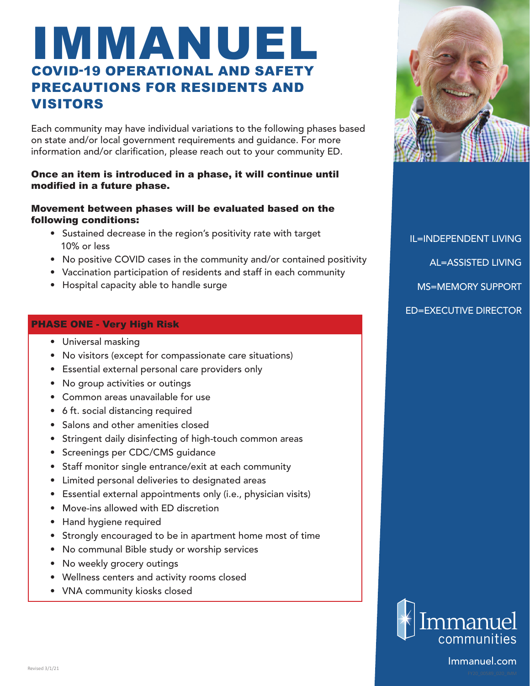# IMMANUEL COVID-19 OPERATIONAL AND SAFETY PRECAUTIONS FOR RESIDENTS AND VISITORS

Each community may have individual variations to the following phases based on state and/or local government requirements and guidance. For more information and/or clarification, please reach out to your community ED.

# Once an item is introduced in a phase, it will continue until modified in a future phase.

### Movement between phases will be evaluated based on the following conditions:

- Sustained decrease in the region's positivity rate with target 10% or less
- No positive COVID cases in the community and/or contained positivity
- Vaccination participation of residents and staff in each community
- Hospital capacity able to handle surge

### PHASE ONE - Very High Risk

- Universal masking
- No visitors (except for compassionate care situations)
- Essential external personal care providers only
- No group activities or outings
- Common areas unavailable for use
- 6 ft. social distancing required
- Salons and other amenities closed
- Stringent daily disinfecting of high-touch common areas
- Screenings per CDC/CMS guidance
- Staff monitor single entrance/exit at each community
- Limited personal deliveries to designated areas
- Essential external appointments only (i.e., physician visits)
- Move-ins allowed with ED discretion
- Hand hygiene required
- Strongly encouraged to be in apartment home most of time
- No communal Bible study or worship services
- No weekly grocery outings
- Wellness centers and activity rooms closed
- VNA community kiosks closed



IL=INDEPENDENT LIVING AL=ASSISTED LIVING MS=MEMORY SUPPORT ED=EXECUTIVE DIRECTOR



Immanuel.com